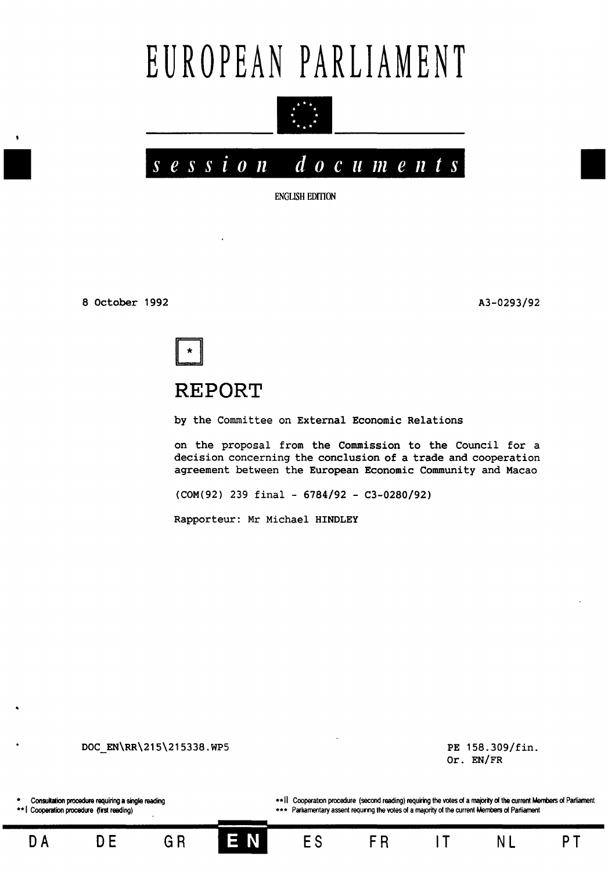# EUROPEAN PARLIAMENT





**ENGLISH EDITION** 

8 October 1992

A3-0293/92



# **REPORT**

by the Committee on External Economic Relations

on the proposal from the Commission to the Council for a decision concerning the conclusion of a trade and cooperation agreement between the European Economic Community and Macao

(COM(92) 239 final - 6784/92 - C3-0280/92)

Rapporteur: Mr Michael HINDLEY

DOC\_EN\RR\215\215338.WP5 PE 158.309/fin. Or. EN/FR Consultation procedure requiring a single reading \*\* I Cooperation procedure (first reading) \*\* 11 Cooperation procedure (second reading) requiring the votes of a majority of the current Members of Parliament \*\*\* Parliamentary assent requiring the votes of a majority of the current Members of Parliament

**DA DE** GR IJ~i ES FA IT NL **PT**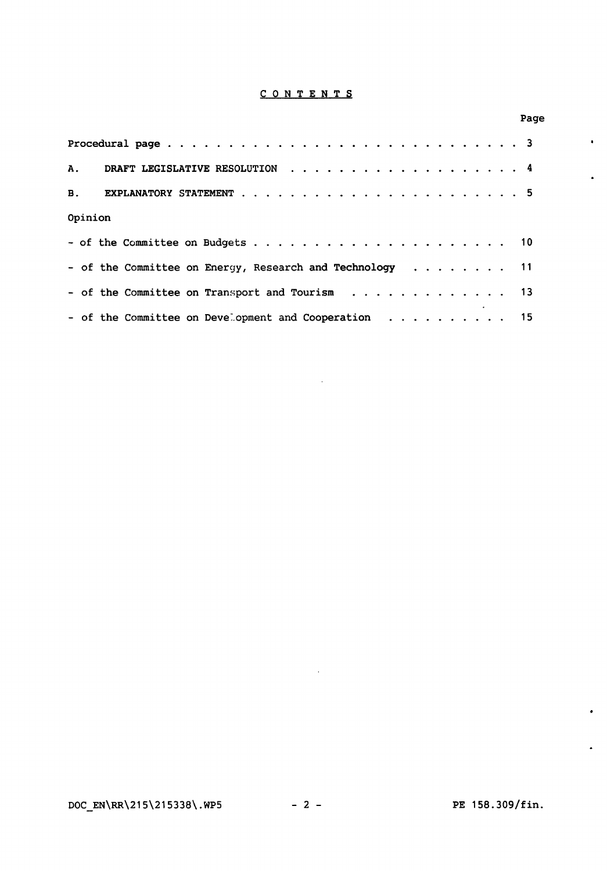### C 0 N T E N T S

| Opinion |                                                          |  |  |  |  |  |  |  |
|---------|----------------------------------------------------------|--|--|--|--|--|--|--|
|         |                                                          |  |  |  |  |  |  |  |
|         | - of the Committee on Energy, Research and Technology 11 |  |  |  |  |  |  |  |
|         | - of the Committee on Transport and Tourism 13           |  |  |  |  |  |  |  |
|         | - of the Committee on Development and Cooperation 15     |  |  |  |  |  |  |  |

 $\sim 10^{-10}$ 

 $\sim 10^{11}$  km s  $^{-1}$ 

Page

 $\bullet$ 

 $\bullet$ 

 $\bullet$ 

 $\hat{\bullet}$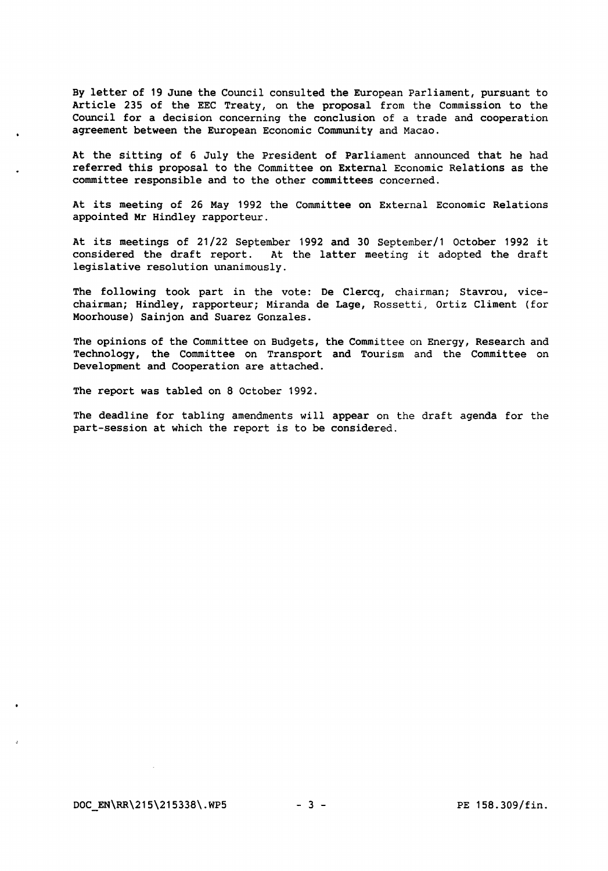By letter of 19 June the Council consulted the European Parliament, pursuant to Article 235 of the EEC Treaty, on the proposal from the Commission to the Council for a decision concerning the conclusion of a trade and cooperation agreement between the European Economic Community and Macao.

At the sitting of 6 July the President of Parliament announced that he had referred this proposal to the Committee on External Economic Relations as the committee responsible and to the other committees concerned.

At its meeting of 26 May 1992 the Committee on External Economic Relations appointed Mr Hindley rapporteur.

At its meetings of 21/22 September 1992 and 30 September/1 October 1992 it considered the draft report. At the latter meeting it adopted the draft legislative resolution unanimously.

The following took part in the vote: De Clercq, chairman; Stavrou, vicechairman; Hindley, rapporteur; Miranda de Lage, Rossetti, Ortiz Climent (for Moorhouse) Sainjon and Suarez Gonzales.

The opinions of the Committee on Budgets, the Committee on Energy, Research and Technology, the Committee on Transport and Tourism and the Committee on Development and Cooperation are attached.

The report was tabled on 8 October 1992.

The deadline for tabling amendments will appear on the draft agenda for the part-session at which the report is to be considered.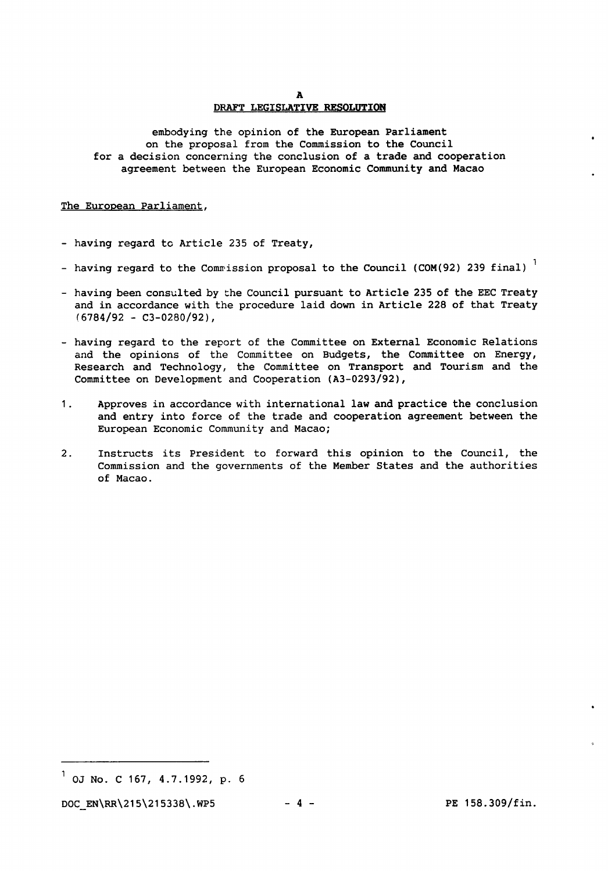A

#### DRAFT LEGISLATIVE RESOLUTION

embodying the opinion of the European Parliament on the proposal from the Commission to the Council for a decision concerning the conclusion of a trade and cooperation agreement between the European Economic Community and Macao

#### The European Parliament,

- having regard to Article 235 of Treaty,
- having regard to the Commission proposal to the Council (COM(92) 239 final)<sup>1</sup>
- having been consulted by the Council pursuant to Article 235 of the EEC Treaty and in accordance with the procedure laid down in Article 228 of that Treaty  $(6784/92 - C3 - 0280/92)$ ,
- having regard to the report of the Committee on External Economic Relations and the opinions of the Committee on Budgets, the Committee on Energy, Research and Technology, the Committee on Transport and Tourism and the Committee on Development and Cooperation {A3-0293/92),
- 1. Approves in accordance with international law and practice the conclusion and entry into force of the trade and cooperation agreement between the European Economic Community and Macao;
- 2. Instructs its President to forward this opinion to the Council, the Commission and the governments of the Member States and the authorities of Macao.

 $^{1}$  OJ No. C 167, 4.7.1992, p. 6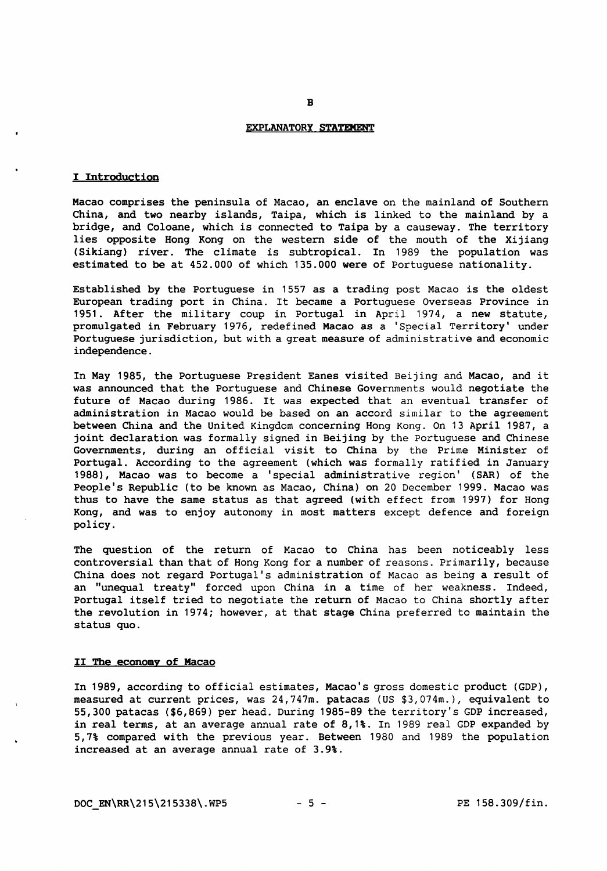#### EXPLANATORY STATEMENT

B

#### I Introduction

Macao comprises the peninsula of Macao, an enclave on the mainland of Southern China, and two nearby islands, Taipa, which is linked to the mainland by a bridge, and Coloane, which is connected to Taipa by a causeway. The territory lies opposite Hong Kong on the western side of the mouth of the Xijiang (Sikiang) river. The climate is subtropical. In 1989 the population was estimated to be at 452.000 of which 135.000 were of Portuguese nationality.

Established by the Portuguese in 1557 as a trading post Macao is the oldest European trading port in China. It became a Portuguese Overseas Province in 1951. After the military coup in Portugal in April 1974, a new statute, promulgated in February 1976, redefined Macao as a 'Special Territory' under Portuguese jurisdiction, but with a great measure of administrative and economic independence.

In May 1985, the Portuguese President Eanes visited Beijing and Macao, and it was announced that the Portuguese and Chinese Governments would negotiate the future of Macao during 1986. It was expected that an eventual transfer of administration in Macao would be based on an accord similar to the agreement between China and the United Kingdom concerning Hong Kong. On 13 April 1987, a joint declaration was formally signed in Beijing by the Portuguese and Chinese Governments, during an official visit to China by the Prime Minister of Portugal. According to the agreement (which was formally ratified in January 1988), Macao was to become a 'special administrative region' (SAR) of the People's Republic (to be known as Macao, China) on 20 December 1999. Macao was thus to have the same status as that agreed (with effect from 1997) for Hong Kong, and was to enjoy autonomy in most matters except defence and foreign policy.

The question of the return of Macao to China has been noticeably less controversial than that of Hong Kong for a number of reasons. Primarily, because China does not regard Portugal's administration of Macao as being a result of an "unequal treaty" forced upon China in a time of her weakness. Indeed, Portugal itself tried to negotiate the return of Macao to China shortly after the revolution in 1974; however, at that stage China preferred to maintain the status quo.

#### II The economy of Macao

In 1989, according to official estimates, Macao's gross domestic product (GDP), measured at current prices, was 24,747m. patacas (US \$3,074m.), equivalent to 55,300 patacas (\$6,869) per head. During 1985-89 the territory's GDP increased, in real terms, at an average annual rate of 8,1%. In 1989 real GDP expanded by 5, 7% compared with the previous year. Between 1980 and 1989 the population increased at an average annual rate of 3.9%.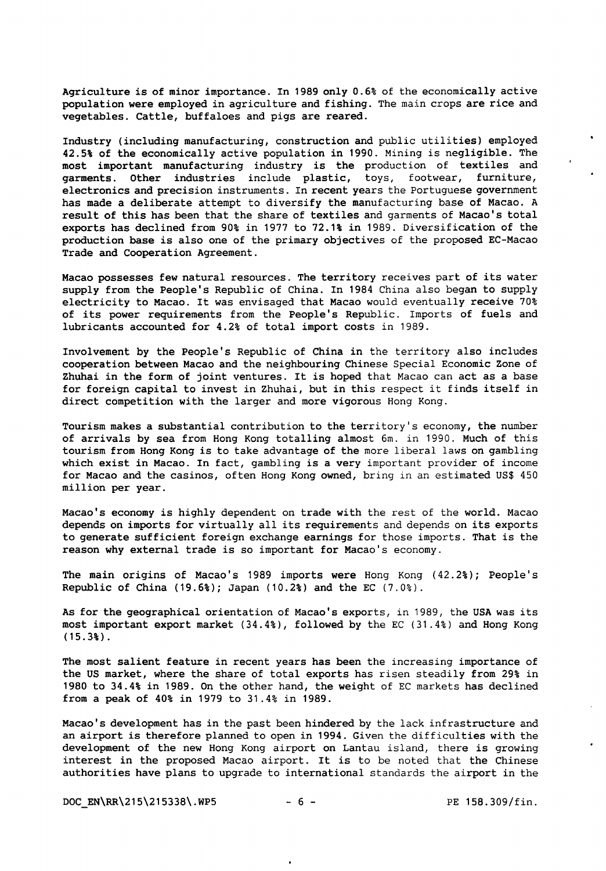Agriculture is of minor importance. In 1989 only 0.6% of the economically active population were employed in agriculture and fishing. The main crops are rice and vegetables. Cattle, buffaloes and pigs are reared.

Industry (including manufacturing, construction and public utilities) employed 42.5% of the economically active population in 1990. Mining is negligible. The most important manufacturing industry is the production of textiles and garments. Other industries include plastic, toys, footwear, furniture, electronics and precision instruments. In recent years the Portuguese government has made a deliberate attempt to diversify the manufacturing base of Macao. A result of this has been that the share of textiles and garments of Macao's total exports has declined from 90% in 1977 to 72.1% in 1989. Diversification of the production base is also one of the primary objectives of the proposed EC-Macao Trade and Cooperation Agreement.

Macao possesses few natural resources. The territory receives part of its water supply from the People's Republic of China. In 1984 China also began to supply electricity to Macao. It was envisaged that Macao would eventually receive 70% of its power requirements from the People's Republic. Imports of fuels and lubricants accounted for 4.2% of total import costs in 1989.

Involvement by the People's Republic of China in the territory also includes cooperation between Macao and the neighbouring Chinese Special Economic Zone of Zhuhai in the form of joint ventures. It is hoped that Macao can act as a base for foreign capital to invest in Zhuhai, but in this respect it finds itself in direct competition with the larger and more vigorous Hong Kong.

Tourism makes a substantial contribution to the territory's economy, the number of arrivals by sea from Hong Kong totalling almost 6m. in 1990. Much of this tourism from Hong Kong is to take advantage of the more liberal laws on gambling which exist in Macao. In fact, gambling is a very important provider of income for Macao and the casinos, often Hong Kong owned, bring in an estimated US\$ 450 million per year.

Macao's economy is highly dependent on trade with the rest of the world. Macao depends on imports for virtually all its requirements and depends on its exports to generate sufficient foreign exchange earnings for those imports. That is the reason why external trade is so important for Macao's economy.

The main origins of Macao's 1989 imports were Hong Kong  $(42.2)$ ; People's Republic of China (19.6%); Japan (10.2%) and the EC (7.0%).

As for the geographical orientation of Macao's exports, in 1989, the USA was its most important export market (34.4%), followed by the EC (31.4%) and Hong Kong (15.3%).

The most salient feature in recent years has been the increasing importance of the US market, where the share of total exports has risen steadily from 29% in 1980 to 34.4% in 1989. On the other hand, the weight of EC markets has declined from a peak of 40% in 1979 to 31.4% in 1989.

Macao's development has in the past been hindered by the lack infrastructure and an airport is therefore planned to open in 1994. Given the difficulties with the development of the new Hong Kong airport on Lantau island, there is growing interest in the proposed Macao airport. It is to be noted that the Chinese authorities have plans to upgrade to international standards the airport in the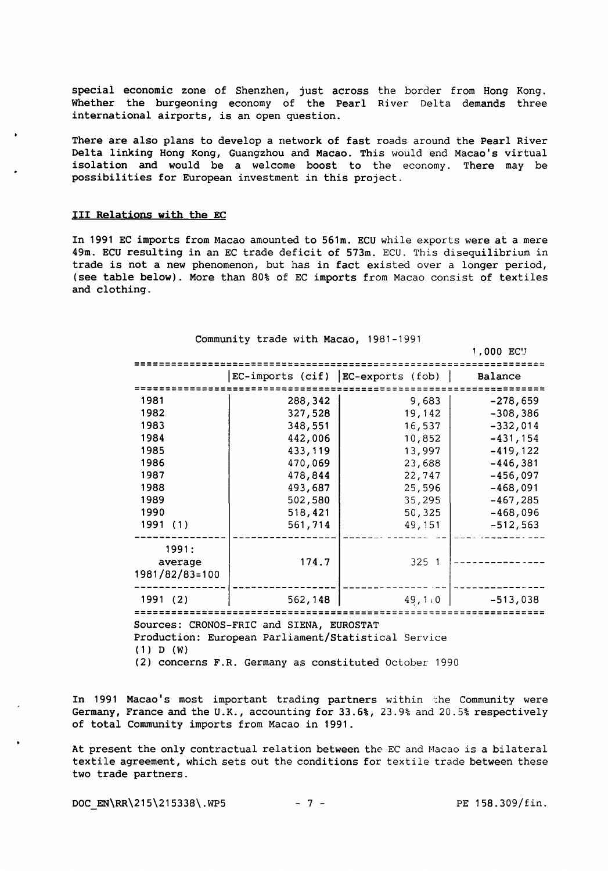special economic zone of Shenzhen, just across the border from Hong Kong. Whether the burgeoning economy of the Pearl River Delta demands three international airports, is an open question.

There are also plans to develop a network of fast roads around the Pearl River Delta linking Hong Kong, Guangzhou and Macao. This would end Macao's virtual isolation and would be a welcome boost to the economy. There may be possibilities for European investment in this project.

#### III Relations with the EC

In 1991 EC imports from Macao amounted to 561m. ECU while exports were at a mere 49m. ECU resulting in an EC trade deficit of 573m. ECU. This disequilibrium in trade is not a new phenomenon, but has in fact existed over a longer period, (see table below). More than 80% of EC imports from Macao consist of textiles and clothing.

| Community trade with Macao, 1981-1991                                |         |        |                |  |  |  |  |  |  |  |
|----------------------------------------------------------------------|---------|--------|----------------|--|--|--|--|--|--|--|
|                                                                      |         |        | 1,000 ECU      |  |  |  |  |  |  |  |
| EC-imports (cif) EC-exports (fob)                                    |         |        |                |  |  |  |  |  |  |  |
|                                                                      |         |        | <b>Balance</b> |  |  |  |  |  |  |  |
|                                                                      |         |        |                |  |  |  |  |  |  |  |
| 1981                                                                 | 288,342 | 9,683  | $-278,659$     |  |  |  |  |  |  |  |
| 1982                                                                 | 327,528 | 19,142 | $-308,386$     |  |  |  |  |  |  |  |
| 1983                                                                 | 348,551 | 16,537 | $-332,014$     |  |  |  |  |  |  |  |
| 1984                                                                 | 442,006 | 10,852 | $-431, 154$    |  |  |  |  |  |  |  |
| 1985                                                                 | 433,119 | 13,997 | $-419, 122$    |  |  |  |  |  |  |  |
| 1986                                                                 | 470,069 | 23,688 | $-446,381$     |  |  |  |  |  |  |  |
| 1987                                                                 | 478,844 | 22,747 | $-456,097$     |  |  |  |  |  |  |  |
| 1988                                                                 | 493,687 | 25,596 | $-468,091$     |  |  |  |  |  |  |  |
| 1989                                                                 | 502,580 | 35,295 | $-467,285$     |  |  |  |  |  |  |  |
| 1990                                                                 | 518,421 | 50,325 | $-468,096$     |  |  |  |  |  |  |  |
| 1991 (1)                                                             | 561,714 | 49,151 | $-512,563$     |  |  |  |  |  |  |  |
| 1991:<br>average<br>1981/82/83=100                                   | 174.7   | 325 1  |                |  |  |  |  |  |  |  |
| 1991 (2)                                                             | 562,148 | 49,110 | $-513,038$     |  |  |  |  |  |  |  |
|                                                                      |         |        |                |  |  |  |  |  |  |  |
| Sources: CRONOS-FRIC and SIENA, EUROSTAT                             |         |        |                |  |  |  |  |  |  |  |
| Production: European Parliament/Statistical Service<br>$(1)$ D $(W)$ |         |        |                |  |  |  |  |  |  |  |

(2) concerns F.R. Germany as constituted October 1990

In 1991 Macao's most important trading partners within the Community were Germany, France and the U.K., accounting for 33.6%, 23.9% and 20.5% respectively of total Community imports from Macao in 1991.

At present the only contractual relation between the EC and Hacao is a bilateral textile agreement, which sets out the conditions for textile trade between these two trade partners.

DOC EN\RR\215\215338\.WP5 - 7 - PE 158.309/fin.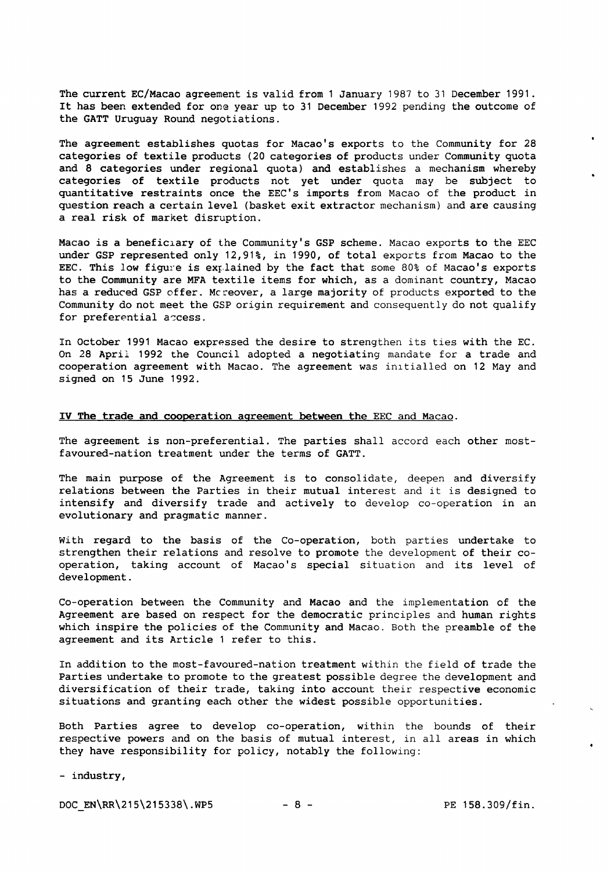The current EC/Macao agreement is valid from 1 January 1987 to 31 December 1991. It has been extended for one year up to 31 December 1992 pending the outcome of the GATT Uruguay Round negotiations.

The agreement establishes quotas for Macao's exports to the Community for 28 categories of textile products (20 categories of products under Community quota and 8 categories under regional quota) and establishes a mechanism whereby categories of textile products not yet under quota may be subject to quantitative restraints once the EEC's imports from Macao of the product in question reach a certain level (basket exit extractor mechanism) and are causing a real risk of market disruption.

Macao is a beneficlary of the Community's GSP scheme. Macao exports to the EEC under GSP represented only 12,91%, in 1990, of total exports from Macao to the EEC. This low figure is explained by the fact that some 80% of Macao's exports to the Community are MFA textile items for which, as a dominant country, Macao has a reduced GSP offer. Mcreover, a large majority of products exported to the Community do not meet the GSP origin requirement and consequently do not qualify for preferential access.

In October 1991 Macao expressed the desire to strengthen its ties with the EC. On 28 April 1992 the Council adopted a negotiating mandate for a trade and cooperation agreement with Macao. The agreement was in1tialled on 12 May and signed on 15 June 1992.

#### IV The trade and cooperation agreement between the EEC and Macao.

The agreement is non-preferential. The parties shall accord each other mostfavoured-nation treatment under the terms of GATT.

The main purpose of the Agreement is to consolidate, deepen and diversify relations between the Parties in their mutual interest and it is designed to intensify and diversify trade and actively to develop co-operation in an evolutionary and pragmatic manner.

With regard to the basis of the Co-operation, both parties undertake to strengthen their relations and resolve to promote the development of their cooperation, taking account of Macao's special situation and its level of development.

Co-operation between the Community and Macao and the implementation of the Agreement are based on respect for the democratic principles and human rights which inspire the policies of the Community and Macao. Both the preamble of the agreement and its Article 1 refer to this.

In addition to the most-favoured-nation treatment within the field of trade the Parties undertake to promote to the greatest possible degree the development and diversification of their trade, taking into account their respective economic situations and granting each other the widest possible opportunities.

Both Parties agree to develop co-operation, within the bounds of their respective powers and on the basis of mutual interest, in all areas in which they have responsibility for policy, notably the following:

- industry,

DOC EN\RR\215\215338\.WP5 - 8 - PE 158.309/fin.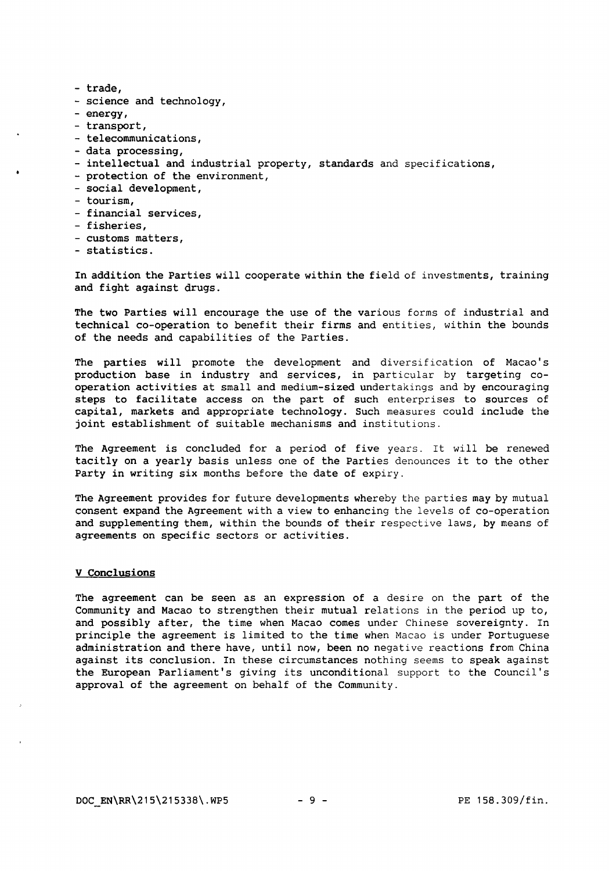- trade,
- science and technology,
- energy,
- transport,
- telecommunications,
- data processing,
- intellectual and industrial property, standards and specifications,
- protection of the environment,
- social development,
- tourism,
- financial services,
- fisheries,
- customs matters,
- statistics.

In addition the Parties will cooperate within the field of investments, training and fight against drugs.

The two Parties will encourage the use of the various forms of industrial and technical co-operation to benefit their firms and entities, within the bounds of the needs and capabilities of the Parties.

The parties will promote the development and diversification of Macao's production base in industry and services, in particular by targeting cooperation activities at small and medium-sized undertakings and by encouraging steps to facilitate access on the part of such enterprises to sources of capital, markets and appropriate technology. Such measures could include the joint establishment of suitable mechanisms and institutions.

The Agreement is concluded for a period of five years. It will be renewed tacitly on a yearly basis unless one of the Parties denounces it to the other Party in writing six months before the date of expiry.

The Agreement provides for future developments whereby the parties may by mutual consent expand the Agreement with a view to enhancing the levels of co-operation and supplementing them, within the bounds of their respective laws, by means of agreements on specific sectors or activities.

#### V Conclusions

The agreement can be seen as an expression of a desire on the part of the Community and Macao to strengthen their mutual relations in the period up to, and possibly after, the time when Macao comes under Chinese sovereignty. In principle the agreement is limited to the time when Macao is under Portuguese administration and there have, until now, been no negative reactions from China against its conclusion. In these circumstances nothing seems to speak against the European Parliament's giving its unconditional support to the Council's approval of the agreement on behalf of the Community.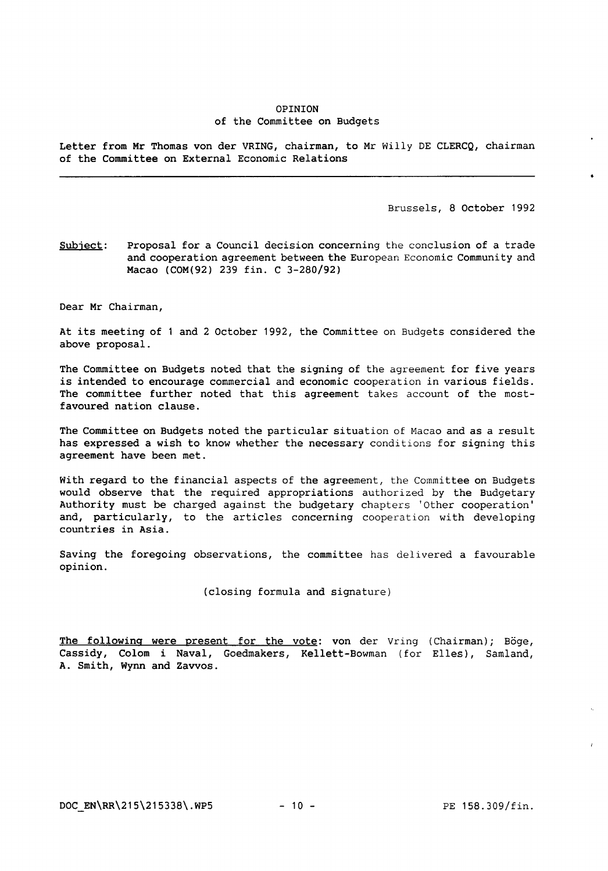#### OPINION of the Committee on Budgets

Letter from Mr Thomas von der VRING, chairman, to Mr Willy DE CLERCQ, chairman of the Committee on External Economic Relations

Brussels, 8 October 1992

Subject: Proposal for a Council decision concerning the conclusion of a trade and cooperation agreement between the European Economic Community and Macao (COM(92) 239 fin. C 3-280/92)

Dear Mr Chairman,

At its meeting of 1 and 2 October 1992, the Committee on Budgets considered the above proposal.

The Committee on Budgets noted that the signing of the agreement for five years is intended to encourage commercial and economic cooperation in various fields. The committee further noted that this agreement takes account of the mostfavoured nation clause.

The Committee on Budgets noted the particular situation of Macao and as a result has expressed a wish to know whether the necessary conditions for signing this agreement have been met.

With regard to the financial aspects of the agreement, the Committee on Budgets would observe that the required appropriations authorized by the Budgetary Authority must be charged against the budgetary chapters 'Other cooperation' and, particularly, to the articles concerning cooperation with developing countries in Asia.

Saving the foregoing observations, the committee has delivered a favourable opinion.

(closing formula and signature)

The following were present for the vote: von der Vring (Chairman); Böge, Cassidy, Colom i Naval, Goedmakers, Kellett-Bowman (for Elles), Samland, A. Smith, Wynn and Zavvos.

DOC EN\RR\215\215338\.WP5 - 10 - PE 158.309/fin.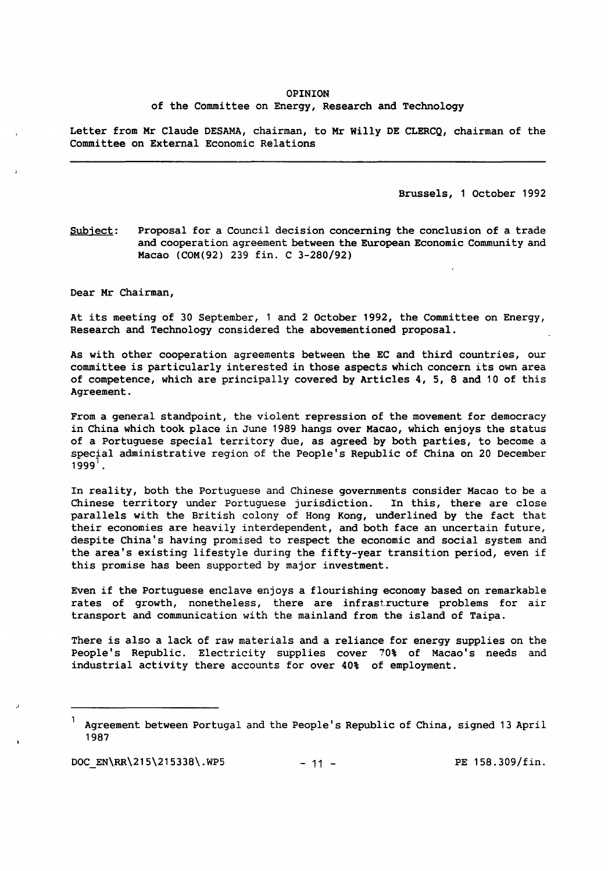## OPINION

#### of the Committee on Energy, Research and Technology

Letter from Mr Claude DESAMA, chairman, to Mr Willy DE CLERCQ, chairman of the Committee on External Economic Relations

Brussels, 1 October 1992

Subject: Proposal for a Council decision concerning the conclusion of a trade and cooperation agreement between the European Economic Community and Macao (COM(92) 239 fin. C 3-280/92)

Dear Mr Chairman,

At its meeting of 30 September, 1 and 2 October 1992, the Committee on Energy, Research and Technology considered the abovementioned proposal.

As with other cooperation agreements between the EC and third countries, our committee is particularly interested in those aspects which concern its own area of competence, which are principally covered by Articles 4, 5, 8 and 10 of this Agreement.

From a general standpoint, the violent repression of the movement for democracy in China which took place in June 1989 hangs over Macao, which enjoys the status of a Portuguese special territory due, as agreed by both parties, to become a special administrative region of the People's Republic of China on 20 December  $1999'$ .

In reality, both the Portuguese and Chinese governments consider Macao to be a Chinese territory under Portuguese jurisdiction. In this, there are close Chinese territory under Portuguese jurisdiction. parallels with the British colony of Hong Kong, underlined by the fact that their economies are heavily interdependent, and both face an uncertain future, despite China's having promised to respect the economic and social system and the area's existing lifestyle during the fifty-year transition period, even if this promise has been supported by major investment.

Even if the Portuguese enclave enjoys a flourishing economy based on remarkable rates of growth, nonetheless, there are infrastructure problems for air transport and communication with the mainland from the island of Taipa.

There is also a lack of raw materials and a reliance for energy supplies on the People's Republic. Electricity supplies cover 70% of Macao's needs and industrial activity there accounts for over 40% of employment.

Agreement between Portugal and the People's Republic of China, signed 13 April 1987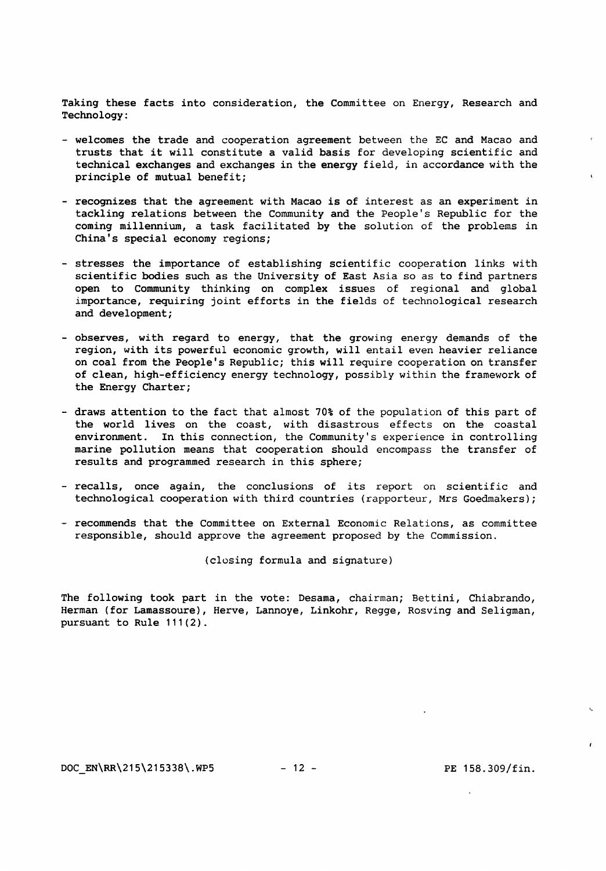Taking these facts into consideration, the Committee on Energy, Research and Technology:

- welcomes the trade and cooperation agreement between the EC and Macao and trusts that it will constitute a valid basis for developing scientific and technical exchanges and exchanges in the energy field, in accordance with the principle of mutual benefit;
- recognizes that the agreement with Macao is of interest as an experiment in tackling relations between the Community and the People's Republic for the coming millennium, a task facilitated by the solution of the problems in China's special economy regions;
- stresses the importance of establishing scientific cooperation links with scientific bodies such as the University of East Asia so as to find partners open to Community thinking on complex issues of regional and global importance, requiring joint efforts in the fields of technological research and development;
- observes, with regard to energy, that the growing energy demands of the region, with its powerful economic growth, will entail even heavier reliance on coal from the People's Republic; this will require cooperation on transfer of clean, high-efficiency energy technology, possibly within the framework of the Energy Charter;
- draws attention to the fact that almost 70% of the population of this part of the world lives on the coast, with disastrous effects on the coastal environment. In this connection, the Community's experience in controlling marine pollution means that cooperation should encompass the transfer of results and programmed research in this sphere;
- recalls, once again, the conclusions of its report on scientific and technological cooperation with third countries (rapporteur, Mrs Goedmakers);
- recommends that the Committee on External Economic Relations, as committee responsible, should approve the agreement proposed by the Commission.

(clusing formula and signature)

The following took part in the vote: Desama, chairman; Bettini, Chiabrando, Herman (for Lamassoure), Herve, Lannoye, Linkohr, Regge, Rosving and Seligman, pursuant to Rule 111(2).

 $\mathbf{t}$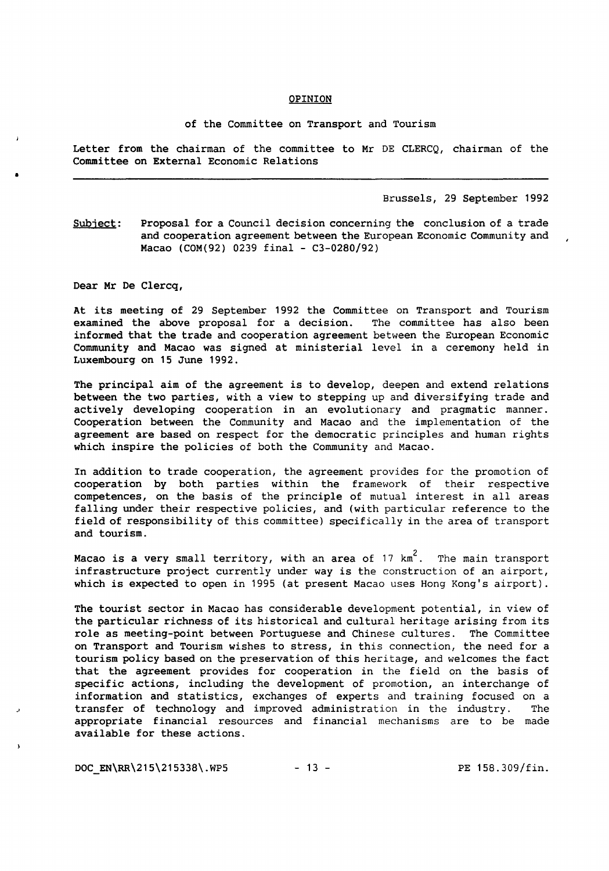#### **OPINION**

#### of the Committee on Transport and Tourism

Letter from the chairman of the committee to Mr DE CLERCQ, chairman of the Committee on External Economic Relations

Brussels, 29 September 1992

Subject: Proposal for a Council decision concerning the conclusion of a trade and cooperation agreement between the European Economic Community and Macao (COM(92) 0239 final - C3-0280/92)

Dear Mr De Clercq,

•

*J* 

At its meeting of 29 September 1992 the Committee on Transport and Tourism<br>examined the above proposal for a decision. The committee has also been examined the above proposal for a decision. informed that the trade and cooperation agreement between the European Economic Community and Macao was signed at ministerial level in a ceremony held in Luxembourg on 15 June 1992.

The principal aim of the agreement is to develop, deepen and extend relations between the two parties, with a view to stepping up and diversifying trade and actively developing cooperation in an evolutionary and pragmatic manner. Cooperation between the Community and Macao and the implementation of the agreement are based on respect for the democratic principles and human rights which inspire the policies of both the Community and Macao.

In addition to trade cooperation, the agreement provides for the promotion of cooperation by both parties within the framework of their respective competences, on the basis of the principle of mutual interest in all areas falling under their respective policies, and (with particular reference to the field of responsibility of this committee) specifically in the area of transport and tourism.

Macao is a very small territory, with an area of  $17 \text{ km}^2$ . The main transport infrastructure project currently under way is the construction of an airport, which is expected to open in 1995 (at present Macao uses Hong Kong's airport).

The tourist sector in Macao has considerable development potential, in view of the particular richness of its historical and cultural heritage arising from its role as meeting-point between Portuguese and Chinese cultures. The Committee on Transport and Tourism wishes to stress, in this connection, the need for a tourism policy based on the preservation of this heritage, and welcomes the fact that the agreement provides for cooperation in the field on the basis of specific actions, including the development of promotion, an interchange of information and statistics, exchanges of experts and training focused on a transfer of technology and improved administration in the industry. The appropriate financial resources and financial mechanisms are to be made available for these actions.

 $DOC$   $EN\RR\215\215338\.\MP5$  - 13 - PE 158.309/fin.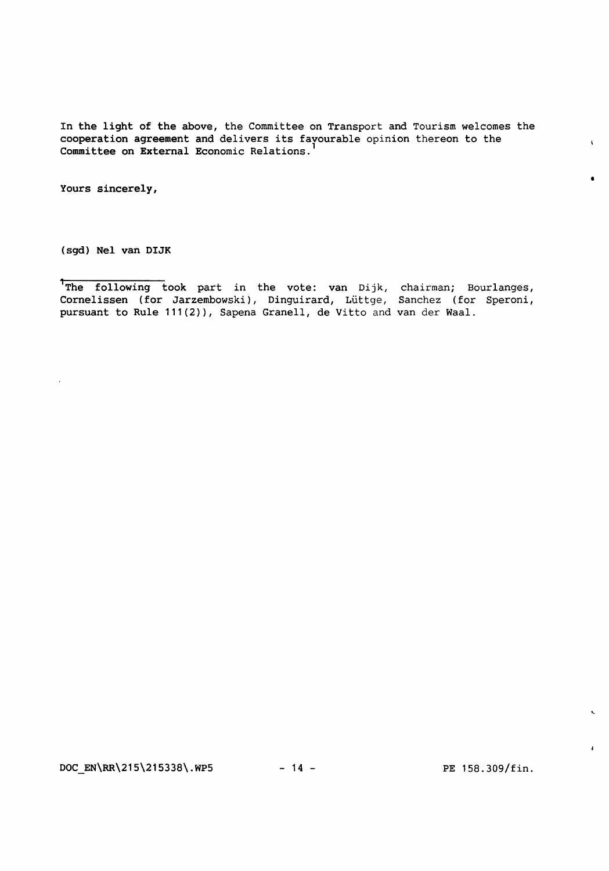In the light of the above, the Committee on Transport and Tourism welcomes the cooperation agreement and delivers its favourable opinion thereon to the Committee on External Economic Relations. <sup>1</sup>

Yours sincerely,

(sgd) Nel van DIJK

The following took part in the vote: van Dijk, chairman; Bourlanges, Cornelissen (for Jarzembowski), Dinguirard, Lüttge, Sanchez (for Speroni, pursuant to Rule 111(2)), Sapena Granell, de Vitto and van der Waal.

 $DOC\_EN\RR\215\215338\.\WP5$  - 14 - PE 158.309/fin.

•

 $\epsilon$ 

 $\mathbf{r}$ 

 $\overline{A}$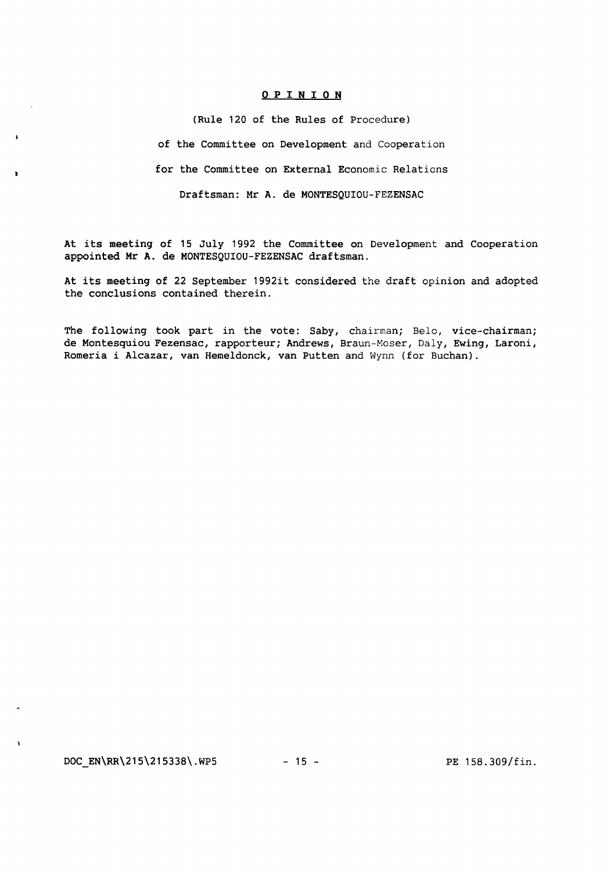#### 0 P I N I 0 N

(Rule 120 of the Rules of Procedure)

of the Committee on Development and Cooperation

for the Committee on External Economic Relations

Draftsman: Mr A. de MONTESQUIOU-FEZENSAC

At its meeting of 15 July 1992 the Committee on Development and Cooperation appointed Mr A. de MONTESQUIOU-FEZENSAC draftsman.

At its meeting of 22 September 1992it considered the draft opinion and adopted the conclusions contained therein.

The following took part in the vote: Saby, chairman; Belo, vice-chairman; de Montesquiou Fezensac, rapporteur; Andrews, Braun-Moser, Daly, Ewing, Laroni, Romeria i Alcazar, van Hemeldonck, van Putten and Wynn (for Buchan).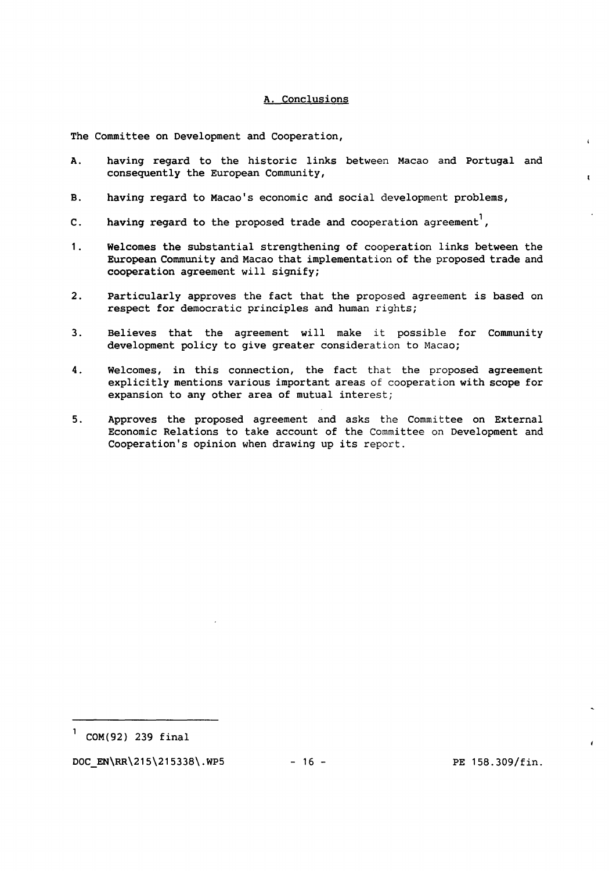#### A. Conclusions

The Committee on Development and Cooperation,

- A. having regard to the historic links between Macao and Portugal and consequently the European Community,
- B. having regard to Macao's economic and social development problems,
- C. having regard to the proposed trade and cooperation agreement<sup>1</sup>,
- 1. Welcomes the substantial strengthening of cooperation links between the European Community and Macao that implementation of the proposed trade and cooperation agreement will signify;
- 2. Particularly approves the fact that the proposed agreement is based on respect for democratic principles and human rights;
- 3. Believes that the agreement will make it possible for Community development policy to give greater consideration to Macao;
- 4. Welcomes, in this connection, the fact that the proposed agreement explicitly mentions various important areas of cooperation with scope for expansion to any other area of mutual interest;
- 5. Approves the proposed agreement and asks the Committee on External Economic Relations to take account of the Committee on Development and Cooperation's opinion when drawing up its report.

 $DOC\_EN\RR\215\215338\.\MP5$  - 16 - PE 158.309/fin.

 $\epsilon$ 

 $\mathbf{r}$ 

 $1$  COM(92) 239 final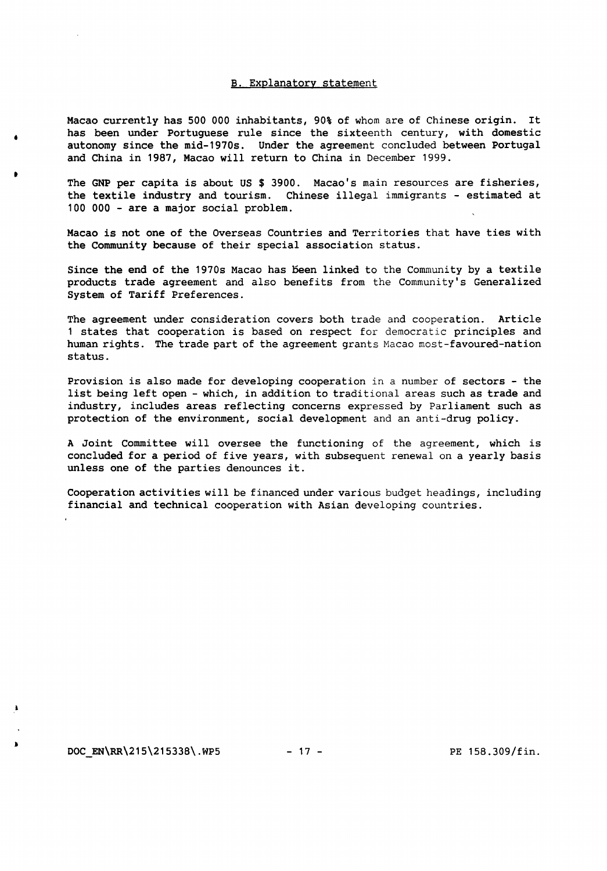#### B. Explanatory statement

Macao currently has 500 000 inhabitants, 90% of whom are of Chinese origin. It has been under Portuguese rule since the sixteenth century, with domestic autonomy since the mid-1970s. Under the agreement concluded between Portugal and China in 1987, Macao will return to China in December 1999.

The GNP per capita is about US \$ 3900. Macao's main resources are fisheries, the textile industry and tourism. Chinese illegal immigrants - estimated at 100 000 - are a major social problem.

Macao is not one of the Overseas Countries and Territories that have ties with the Community because of their special association status.

Since the end of the 1970s Macao has been linked to the Community by a textile products trade agreement and also benefits from the Community's Generalized System of Tariff Preferences.

The agreement under consideration covers both trade and cooperation. Article 1 states that cooperation is based on respect for democratic principles and human rights. The trade part of the agreement grants Macao most-favoured-nation status.

Provision is also made for developing cooperation in a number of sectors - the list being left open - which, in addition to traditional areas such as trade and industry, includes areas reflecting concerns expressed by Parliament such as protection of the environment, social development and an anti-drug policy.

A Joint Committee will oversee the functioning of the agreement, which is concluded for a period of five years, with subsequent renewal on a yearly basis unless one of the parties denounces it.

Cooperation activities will be financed under various budget headings, including financial and technical cooperation with Asian developing countries.

•